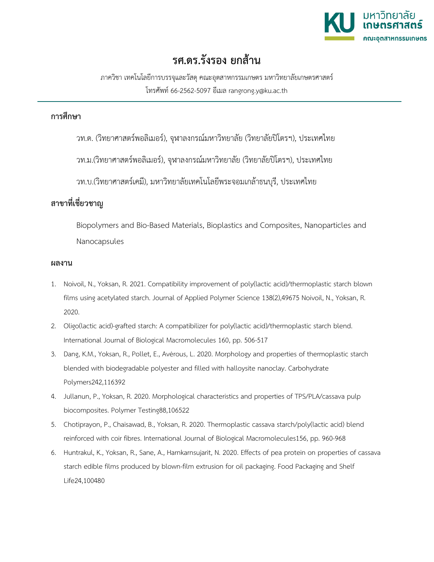

## **รศ.ดร.รังรอง ยกสาน**

ภาควิชา เทคโนโลยีการบรรจุและวัสดุคณะอุตสาหกรรมเกษตร มหาวิทยาลัยเกษตรศาสตร โทรศัพท 66-2562-5097 อีเมล rangrong.y@ku.ac.th

## **การศึกษา**

วท.ด. (วิทยาศาสตรพอลิเมอร), จุฬาลงกรณมหาวิทยาลัย (วิทยาลัยปโตรฯ), ประเทศไทย

วท.ม.(วิทยาศาสตรพอลิเมอร), จุฬาลงกรณมหาวิทยาลัย (วิทยาลัยปโตรฯ), ประเทศไทย

วท.บ.(วิทยาศาสตรเคมี), มหาวิทยาลัยเทคโนโลยีพระจอมเกลาธนบุรี, ประเทศไทย

## **สาขาที่เชี่ยวชาญ**

Biopolymers and Bio-Based Materials, Bioplastics and Composites, Nanoparticles and Nanocapsules

## **ผลงาน**

- 1. Noivoil, N., Yoksan, R. 2021. Compatibility improvement of poly(lactic acid)/thermoplastic starch blown films using acetylated starch. Journal of Applied Polymer Science 138(2),49675 Noivoil, N., Yoksan, R. 2020.
- 2. Oligo(lactic acid)-grafted starch: A compatibilizer for poly(lactic acid)/thermoplastic starch blend. International Journal of Biological Macromolecules 160, pp. 506-517
- 3. Dang, K.M., Yoksan, R., Pollet, E., Avérous, L. 2020. Morphology and properties of thermoplastic starch blended with biodegradable polyester and filled with halloysite nanoclay. Carbohydrate Polymers242,116392
- 4. Jullanun, P., Yoksan, R. 2020. Morphological characteristics and properties of TPS/PLA/cassava pulp biocomposites. Polymer Testing88,106522
- 5. Chotiprayon, P., Chaisawad, B., Yoksan, R. 2020. Thermoplastic cassava starch/poly(lactic acid) blend reinforced with coir fibres. International Journal of Biological Macromolecules156, pp. 960-968
- 6. Huntrakul, K., Yoksan, R., Sane, A., Harnkarnsujarit, N. 2020. Effects of pea protein on properties of cassava starch edible films produced by blown-film extrusion for oil packaging. Food Packaging and Shelf Life24,100480